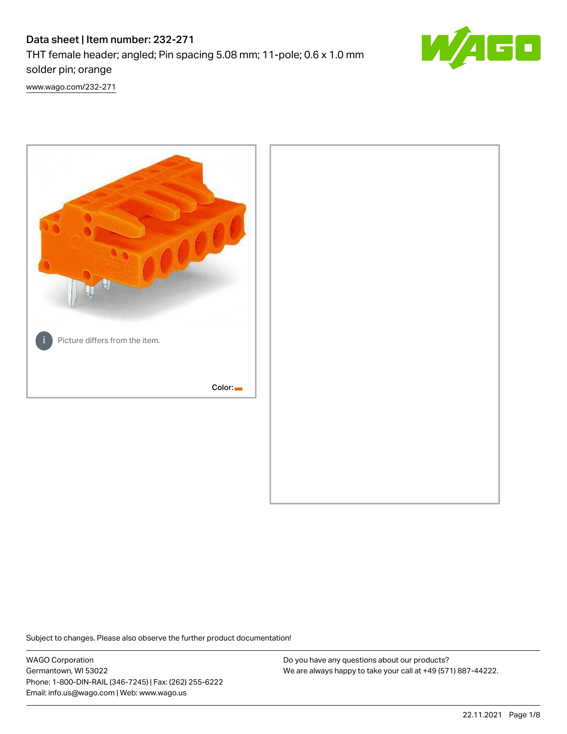# Data sheet | Item number: 232-271





[www.wago.com/232-271](http://www.wago.com/232-271)



Subject to changes. Please also observe the further product documentation!

WAGO Corporation Germantown, WI 53022 Phone: 1-800-DIN-RAIL (346-7245) | Fax: (262) 255-6222 Email: info.us@wago.com | Web: www.wago.us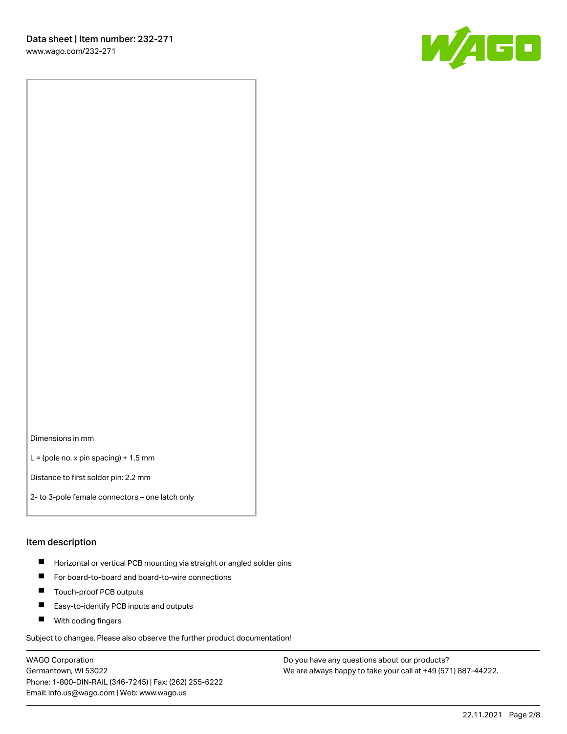[www.wago.com/232-271](http://www.wago.com/232-271)



Dimensions in mm

 $L =$  (pole no. x pin spacing) + 1.5 mm

Distance to first solder pin: 2.2 mm

2- to 3-pole female connectors – one latch only

#### Item description

- **Horizontal or vertical PCB mounting via straight or angled solder pins**
- For board-to-board and board-to-wire connections
- $\blacksquare$ Touch-proof PCB outputs
- $\blacksquare$ Easy-to-identify PCB inputs and outputs
- **Now With coding fingers**

Subject to changes. Please also observe the further product documentation!

WAGO Corporation Germantown, WI 53022 Phone: 1-800-DIN-RAIL (346-7245) | Fax: (262) 255-6222 Email: info.us@wago.com | Web: www.wago.us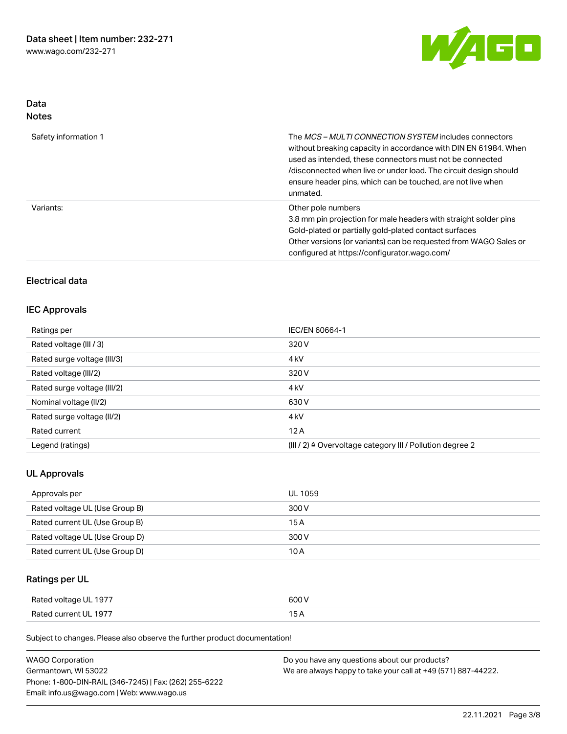

# Data Notes

| Safety information 1 | The <i>MCS – MULTI CONNECTION SYSTEM</i> includes connectors<br>without breaking capacity in accordance with DIN EN 61984. When<br>used as intended, these connectors must not be connected<br>/disconnected when live or under load. The circuit design should<br>ensure header pins, which can be touched, are not live when<br>unmated. |
|----------------------|--------------------------------------------------------------------------------------------------------------------------------------------------------------------------------------------------------------------------------------------------------------------------------------------------------------------------------------------|
| Variants:            | Other pole numbers<br>3.8 mm pin projection for male headers with straight solder pins<br>Gold-plated or partially gold-plated contact surfaces<br>Other versions (or variants) can be requested from WAGO Sales or<br>configured at https://configurator.wago.com/                                                                        |

# Electrical data

#### IEC Approvals

| Ratings per                 | IEC/EN 60664-1                                                       |
|-----------------------------|----------------------------------------------------------------------|
| Rated voltage (III / 3)     | 320 V                                                                |
| Rated surge voltage (III/3) | 4 <sub>k</sub> V                                                     |
| Rated voltage (III/2)       | 320 V                                                                |
| Rated surge voltage (III/2) | 4 <sub>k</sub> V                                                     |
| Nominal voltage (II/2)      | 630 V                                                                |
| Rated surge voltage (II/2)  | 4 <sub>k</sub> V                                                     |
| Rated current               | 12A                                                                  |
| Legend (ratings)            | (III / 2) $\triangleq$ Overvoltage category III / Pollution degree 2 |

# UL Approvals

| Approvals per                  | <b>UL 1059</b> |
|--------------------------------|----------------|
| Rated voltage UL (Use Group B) | 300 V          |
| Rated current UL (Use Group B) | 15 A           |
| Rated voltage UL (Use Group D) | 300 V          |
| Rated current UL (Use Group D) | 10 A           |

# Ratings per UL

| Rated voltage UL 1977 | 600 V |
|-----------------------|-------|
| Rated current UL 1977 |       |

Subject to changes. Please also observe the further product documentation!

| <b>WAGO Corporation</b>                                | Do you have any questions about our products?                 |
|--------------------------------------------------------|---------------------------------------------------------------|
| Germantown, WI 53022                                   | We are always happy to take your call at +49 (571) 887-44222. |
| Phone: 1-800-DIN-RAIL (346-7245)   Fax: (262) 255-6222 |                                                               |
| Email: info.us@wago.com   Web: www.wago.us             |                                                               |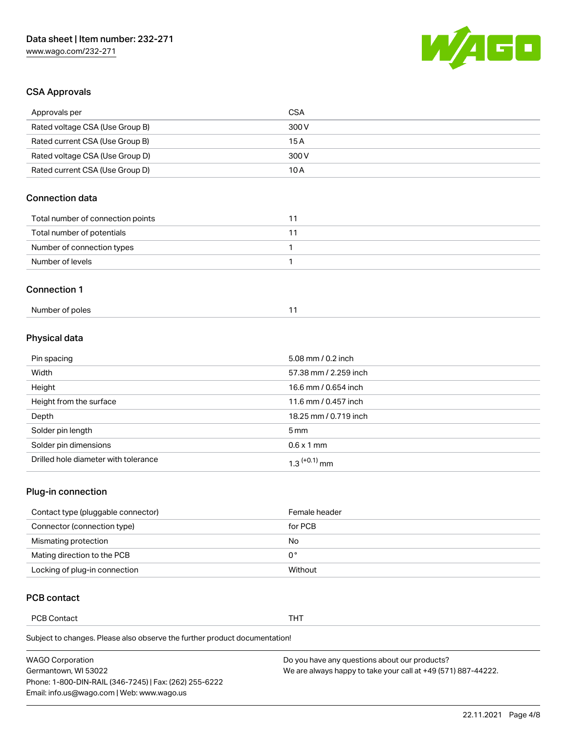

# CSA Approvals

| Approvals per                     | <b>CSA</b> |
|-----------------------------------|------------|
| Rated voltage CSA (Use Group B)   | 300 V      |
| Rated current CSA (Use Group B)   | 15A        |
| Rated voltage CSA (Use Group D)   | 300 V      |
| Rated current CSA (Use Group D)   | 10A        |
| Connection data                   |            |
| Total number of connection points | 11         |
|                                   |            |
| Total number of potentials        | 11         |
| Number of connection types        | 1          |
| Number of levels                  | 1          |
| <b>Connection 1</b>               |            |

# Physical data

| Pin spacing                          | 5.08 mm / 0.2 inch    |
|--------------------------------------|-----------------------|
| Width                                | 57.38 mm / 2.259 inch |
| Height                               | 16.6 mm / 0.654 inch  |
| Height from the surface              | 11.6 mm / 0.457 inch  |
| Depth                                | 18.25 mm / 0.719 inch |
| Solder pin length                    | $5 \,\mathrm{mm}$     |
| Solder pin dimensions                | $0.6 \times 1$ mm     |
| Drilled hole diameter with tolerance | $1.3$ $(+0.1)$ mm     |

# Plug-in connection

| Contact type (pluggable connector) | Female header |
|------------------------------------|---------------|
| Connector (connection type)        | for PCB       |
| Mismating protection               | No            |
| Mating direction to the PCB        | 0°            |
| Locking of plug-in connection      | Without       |

## PCB contact

PCB Contact **THT** 

Subject to changes. Please also observe the further product documentation!

| <b>WAGO Corporation</b>                                | Do you have any questions about our products?                 |
|--------------------------------------------------------|---------------------------------------------------------------|
| Germantown, WI 53022                                   | We are always happy to take your call at +49 (571) 887-44222. |
| Phone: 1-800-DIN-RAIL (346-7245)   Fax: (262) 255-6222 |                                                               |
| Email: info.us@wago.com   Web: www.wago.us             |                                                               |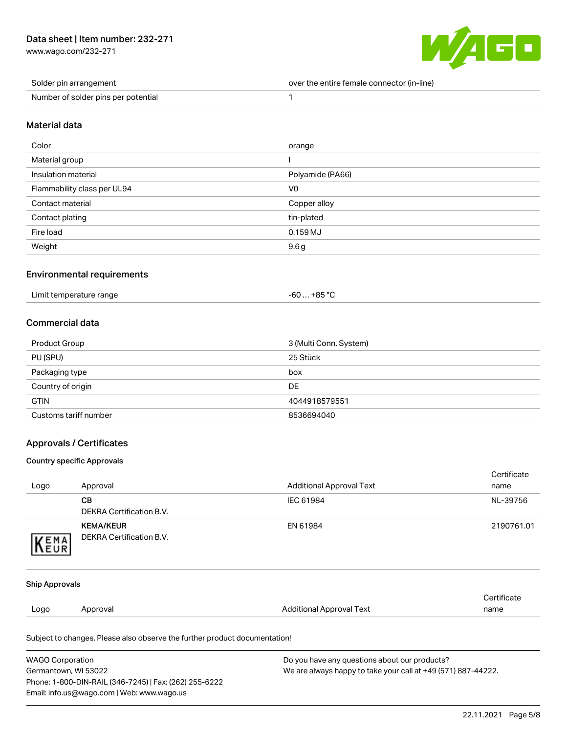[www.wago.com/232-271](http://www.wago.com/232-271)



| Solder pin arrangement              | over the entire female connector (in-line) |
|-------------------------------------|--------------------------------------------|
| Number of solder pins per potential |                                            |

#### Material data

| Color                       | orange           |
|-----------------------------|------------------|
| Material group              |                  |
| Insulation material         | Polyamide (PA66) |
| Flammability class per UL94 | V0               |
| Contact material            | Copper alloy     |
| Contact plating             | tin-plated       |
| Fire load                   | $0.159$ MJ       |
| Weight                      | 9.6g             |

#### Environmental requirements

|  | Limit temperature range | $-60+85 °C$ |  |
|--|-------------------------|-------------|--|
|--|-------------------------|-------------|--|

## Commercial data

| Product Group         | 3 (Multi Conn. System) |
|-----------------------|------------------------|
| PU (SPU)              | 25 Stück               |
| Packaging type        | box                    |
| Country of origin     | DE                     |
| <b>GTIN</b>           | 4044918579551          |
| Customs tariff number | 8536694040             |

#### Approvals / Certificates

#### Country specific Approvals

Phone: 1-800-DIN-RAIL (346-7245) | Fax: (262) 255-6222

Email: info.us@wago.com | Web: www.wago.us

|                         |                                                                            |                                                               | Certificate |
|-------------------------|----------------------------------------------------------------------------|---------------------------------------------------------------|-------------|
| Logo                    | Approval                                                                   | <b>Additional Approval Text</b>                               | name        |
|                         | <b>CB</b>                                                                  | IEC 61984                                                     | NL-39756    |
|                         | <b>DEKRA Certification B.V.</b>                                            |                                                               |             |
|                         | <b>KEMA/KEUR</b>                                                           | EN 61984                                                      | 2190761.01  |
| KEMA                    | <b>DEKRA Certification B.V.</b>                                            |                                                               |             |
|                         |                                                                            |                                                               |             |
| <b>Ship Approvals</b>   |                                                                            |                                                               |             |
|                         |                                                                            |                                                               | Certificate |
| Logo                    | Approval                                                                   | <b>Additional Approval Text</b>                               | name        |
|                         | Subject to changes. Please also observe the further product documentation! |                                                               |             |
| <b>WAGO Corporation</b> | Do you have any questions about our products?                              |                                                               |             |
| Germantown, WI 53022    |                                                                            | We are always happy to take your call at +49 (571) 887-44222. |             |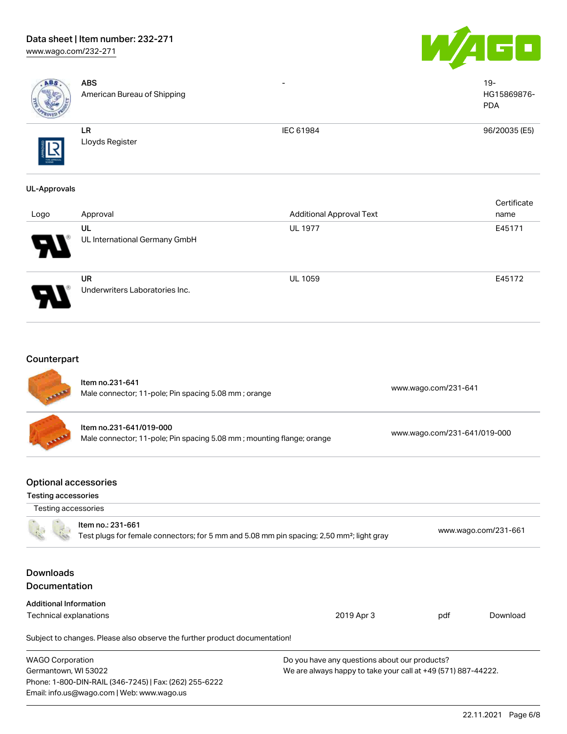# Data sheet | Item number: 232-271

[www.wago.com/232-271](http://www.wago.com/232-271)





| ABS                                                       | <b>ABS</b><br>American Bureau of Shipping                                                                                  |                                                                                                                |                              | $19 -$<br>HG15869876-<br><b>PDA</b> |
|-----------------------------------------------------------|----------------------------------------------------------------------------------------------------------------------------|----------------------------------------------------------------------------------------------------------------|------------------------------|-------------------------------------|
|                                                           | ${\sf LR}$<br>Lloyds Register                                                                                              | IEC 61984                                                                                                      |                              | 96/20035 (E5)                       |
| <b>UL-Approvals</b>                                       |                                                                                                                            |                                                                                                                |                              |                                     |
| Logo                                                      | Approval                                                                                                                   | <b>Additional Approval Text</b>                                                                                |                              | Certificate<br>name                 |
|                                                           | UL<br>UL International Germany GmbH                                                                                        | <b>UL 1977</b>                                                                                                 |                              | E45171                              |
|                                                           | <b>UR</b><br>Underwriters Laboratories Inc.                                                                                | UL 1059                                                                                                        |                              | E45172                              |
| Counterpart                                               | Item no.231-641                                                                                                            |                                                                                                                |                              |                                     |
|                                                           | Male connector; 11-pole; Pin spacing 5.08 mm; orange                                                                       |                                                                                                                | www.wago.com/231-641         |                                     |
|                                                           | Item no.231-641/019-000<br>Male connector; 11-pole; Pin spacing 5.08 mm; mounting flange; orange                           |                                                                                                                | www.wago.com/231-641/019-000 |                                     |
| <b>Optional accessories</b><br><b>Testing accessories</b> |                                                                                                                            |                                                                                                                |                              |                                     |
| Testing accessories                                       | Item no.: 231-661<br>Test plugs for female connectors; for 5 mm and 5.08 mm pin spacing; 2,50 mm <sup>2</sup> ; light gray |                                                                                                                |                              | www.wago.com/231-661                |
| <b>Downloads</b><br>Documentation                         |                                                                                                                            |                                                                                                                |                              |                                     |
| <b>Additional Information</b>                             |                                                                                                                            |                                                                                                                |                              |                                     |
| Technical explanations                                    |                                                                                                                            | 2019 Apr 3                                                                                                     | pdf                          | Download                            |
|                                                           | Subject to changes. Please also observe the further product documentation!                                                 |                                                                                                                |                              |                                     |
| <b>WAGO Corporation</b><br>Germantown, WI 53022           | Phone: 1-800-DIN-RAIL (346-7245)   Fax: (262) 255-6222<br>Email: info.us@wago.com   Web: www.wago.us                       | Do you have any questions about our products?<br>We are always happy to take your call at +49 (571) 887-44222. |                              |                                     |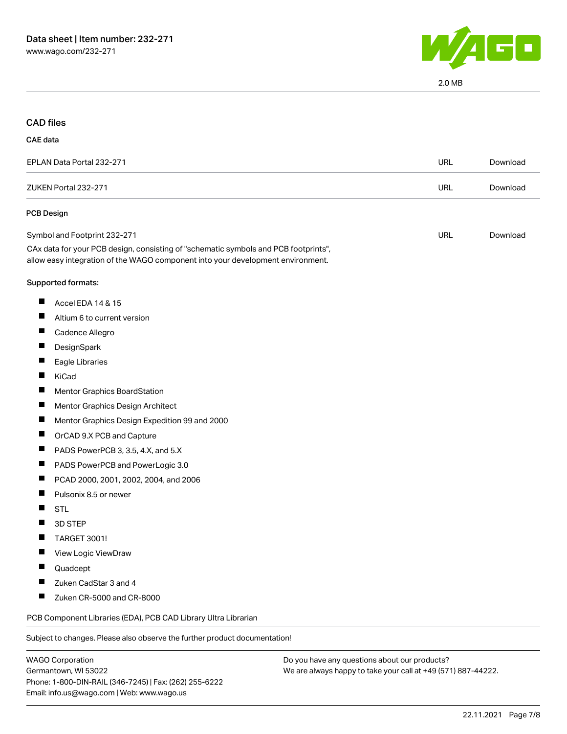

2.0 MB

#### CAD files

#### CAE data

| EPLAN Data Portal 232-271                                                                                                                                              | URL | Download |
|------------------------------------------------------------------------------------------------------------------------------------------------------------------------|-----|----------|
| ZUKEN Portal 232-271                                                                                                                                                   | URL | Download |
| <b>PCB Design</b>                                                                                                                                                      |     |          |
| Symbol and Footprint 232-271                                                                                                                                           | URL | Download |
| CAx data for your PCB design, consisting of "schematic symbols and PCB footprints",<br>allow easy integration of the WAGO component into your development environment. |     |          |
| Supported formats:                                                                                                                                                     |     |          |
| Accel EDA 14 & 15                                                                                                                                                      |     |          |

- $\blacksquare$ Altium 6 to current version
- 
- $\blacksquare$ Cadence Allegro
- $\blacksquare$ **DesignSpark**
- $\blacksquare$ Eagle Libraries
- $\blacksquare$ KiCad
- $\blacksquare$ Mentor Graphics BoardStation
- $\blacksquare$ Mentor Graphics Design Architect
- $\blacksquare$ Mentor Graphics Design Expedition 99 and 2000
- $\blacksquare$ OrCAD 9.X PCB and Capture
- $\blacksquare$ PADS PowerPCB 3, 3.5, 4.X, and 5.X
- $\blacksquare$ PADS PowerPCB and PowerLogic 3.0
- $\blacksquare$ PCAD 2000, 2001, 2002, 2004, and 2006
- $\blacksquare$ Pulsonix 8.5 or newer
- П **STL**
- $\blacksquare$ 3D STEP
- $\blacksquare$ TARGET 3001!
- $\blacksquare$ View Logic ViewDraw
- $\blacksquare$ Quadcept
- $\blacksquare$ Zuken CadStar 3 and 4
- $\blacksquare$ Zuken CR-5000 and CR-8000

PCB Component Libraries (EDA), PCB CAD Library Ultra Librarian

Subject to changes. Please also observe the further product documentation!